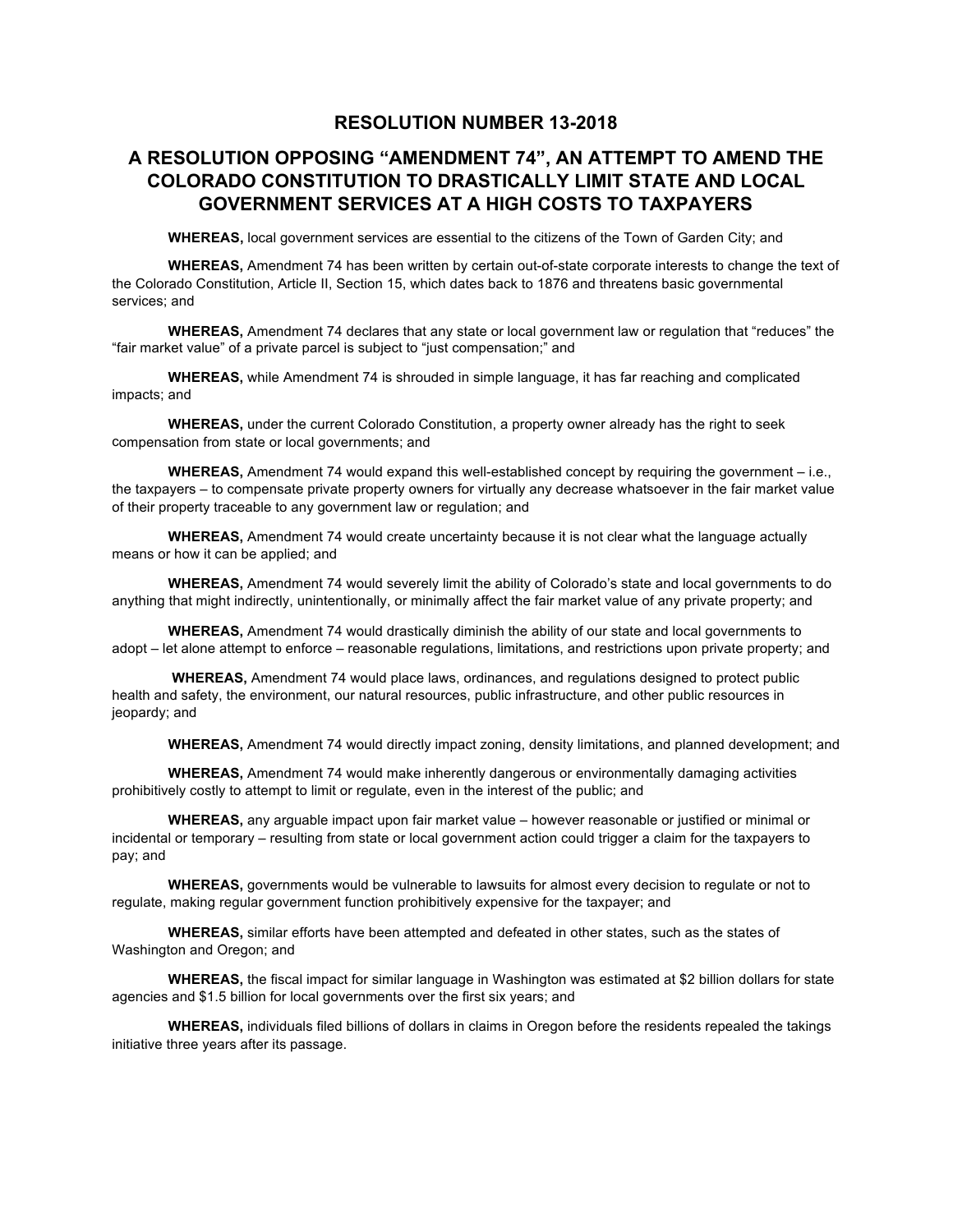## **RESOLUTION NUMBER 13-2018**

## **A RESOLUTION OPPOSING "AMENDMENT 74", AN ATTEMPT TO AMEND THE COLORADO CONSTITUTION TO DRASTICALLY LIMIT STATE AND LOCAL GOVERNMENT SERVICES AT A HIGH COSTS TO TAXPAYERS**

**WHEREAS,** local government services are essential to the citizens of the Town of Garden City; and

**WHEREAS,** Amendment 74 has been written by certain out-of-state corporate interests to change the text of the Colorado Constitution, Article II, Section 15, which dates back to 1876 and threatens basic governmental services; and

**WHEREAS,** Amendment 74 declares that any state or local government law or regulation that "reduces" the "fair market value" of a private parcel is subject to "just compensation;" and

**WHEREAS,** while Amendment 74 is shrouded in simple language, it has far reaching and complicated impacts; and

**WHEREAS,** under the current Colorado Constitution, a property owner already has the right to seek compensation from state or local governments; and

**WHEREAS,** Amendment 74 would expand this well-established concept by requiring the government – i.e., the taxpayers – to compensate private property owners for virtually any decrease whatsoever in the fair market value of their property traceable to any government law or regulation; and

**WHEREAS,** Amendment 74 would create uncertainty because it is not clear what the language actually means or how it can be applied; and

**WHEREAS,** Amendment 74 would severely limit the ability of Colorado's state and local governments to do anything that might indirectly, unintentionally, or minimally affect the fair market value of any private property; and

**WHEREAS,** Amendment 74 would drastically diminish the ability of our state and local governments to adopt – let alone attempt to enforce – reasonable regulations, limitations, and restrictions upon private property; and

**WHEREAS,** Amendment 74 would place laws, ordinances, and regulations designed to protect public health and safety, the environment, our natural resources, public infrastructure, and other public resources in jeopardy; and

**WHEREAS,** Amendment 74 would directly impact zoning, density limitations, and planned development; and

**WHEREAS,** Amendment 74 would make inherently dangerous or environmentally damaging activities prohibitively costly to attempt to limit or regulate, even in the interest of the public; and

**WHEREAS,** any arguable impact upon fair market value – however reasonable or justified or minimal or incidental or temporary – resulting from state or local government action could trigger a claim for the taxpayers to pay; and

**WHEREAS,** governments would be vulnerable to lawsuits for almost every decision to regulate or not to regulate, making regular government function prohibitively expensive for the taxpayer; and

**WHEREAS,** similar efforts have been attempted and defeated in other states, such as the states of Washington and Oregon; and

**WHEREAS,** the fiscal impact for similar language in Washington was estimated at \$2 billion dollars for state agencies and \$1.5 billion for local governments over the first six years; and

**WHEREAS,** individuals filed billions of dollars in claims in Oregon before the residents repealed the takings initiative three years after its passage.